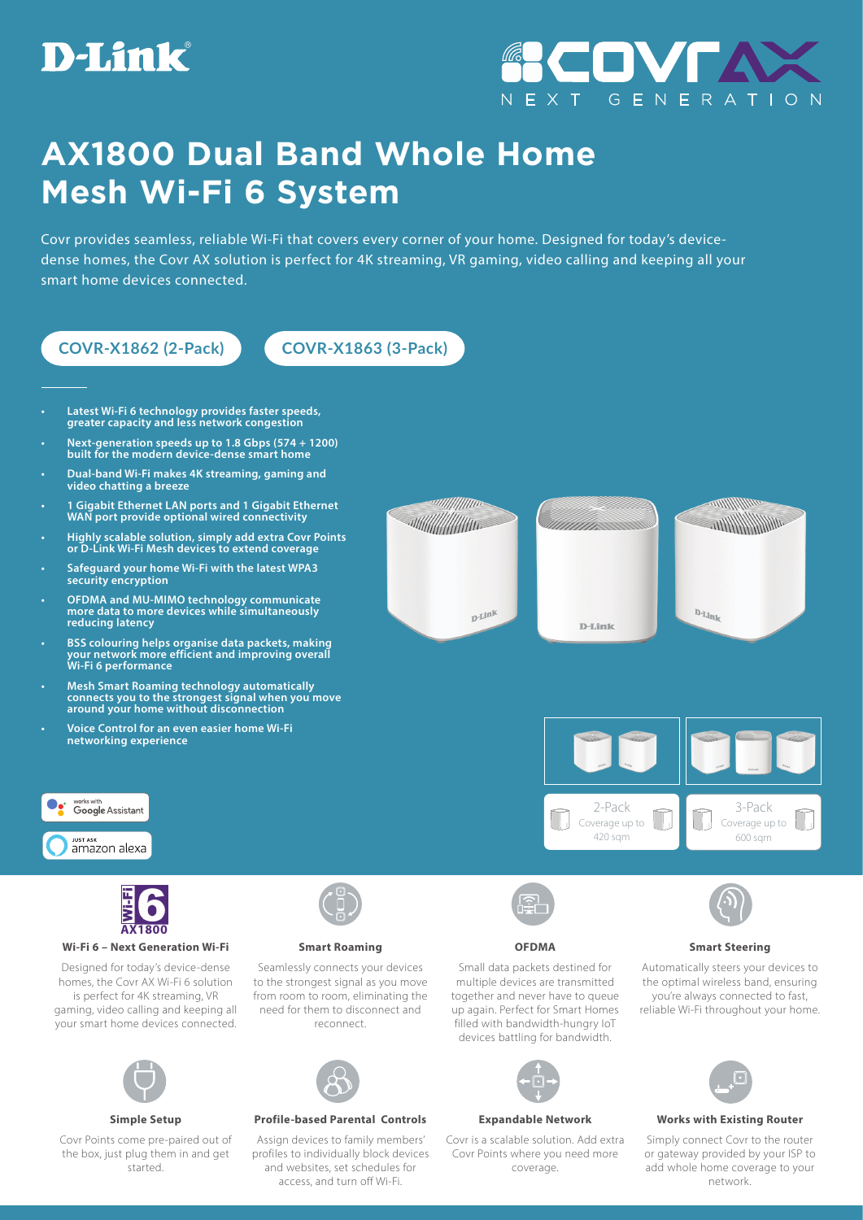



## **AX1800 Dual Band Whole Home Mesh Wi-Fi 6 System**

Covr provides seamless, reliable Wi-Fi that covers every corner of your home. Designed for today's devicedense homes, the Covr AX solution is perfect for 4K streaming, VR gaming, video calling and keeping all your smart home devices connected.



Covr Points come pre-paired out of the box, just plug them in and get started.

Assign devices to family members' profiles to individually block devices and websites, set schedules for access, and turn off Wi-Fi.



Covr is a scalable solution. Add extra Covr Points where you need more coverage.



## **Simple Setup Profile-based Parental Controls Expandable Network Works with Existing Router**

Simply connect Covr to the router or gateway provided by your ISP to add whole home coverage to your network.